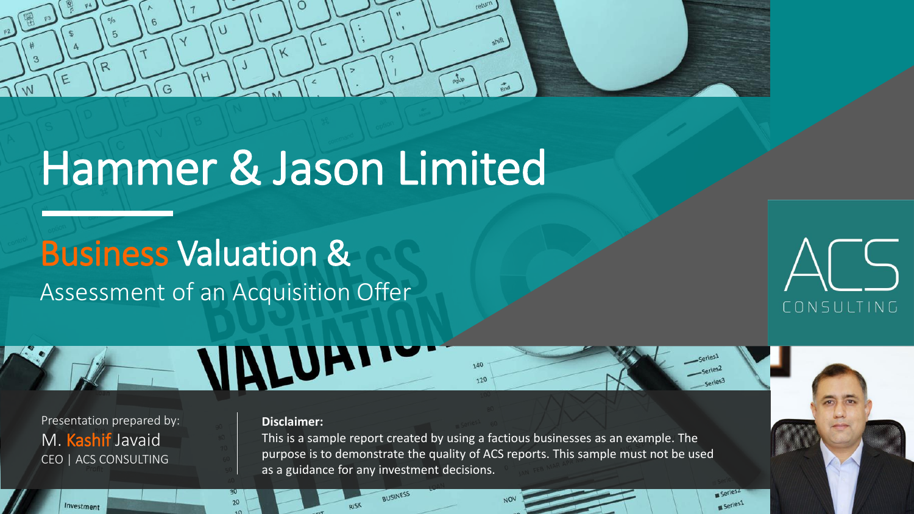

# Hammer & Jason Limited

# Business Valuation & Assessment of an Acquisition Offer



Series1

Presentation prepared by: M. Kashif Javaid CEO | ACS CONSULTING

#### **Disclaimer:**

**INLUAT** 

This is a sample report created by using a factious businesses as an example. The purpose is to demonstrate the quality of ACS reports. This sample must not be used as a guidance for any investment decisions.

**AUSINESS** 

140  $120$ 

Investment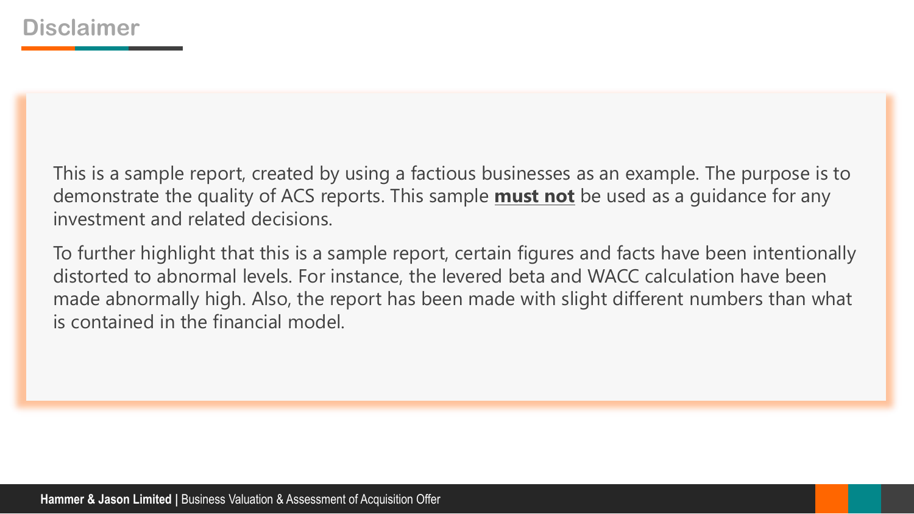This is a sample report, created by using a factious businesses as an example. The purpose is to demonstrate the quality of ACS reports. This sample **must not** be used as a guidance for any investment and related decisions.

To further highlight that this is a sample report, certain figures and facts have been intentionally distorted to abnormal levels. For instance, the levered beta and WACC calculation have been made abnormally high. Also, the report has been made with slight different numbers than what is contained in the financial model.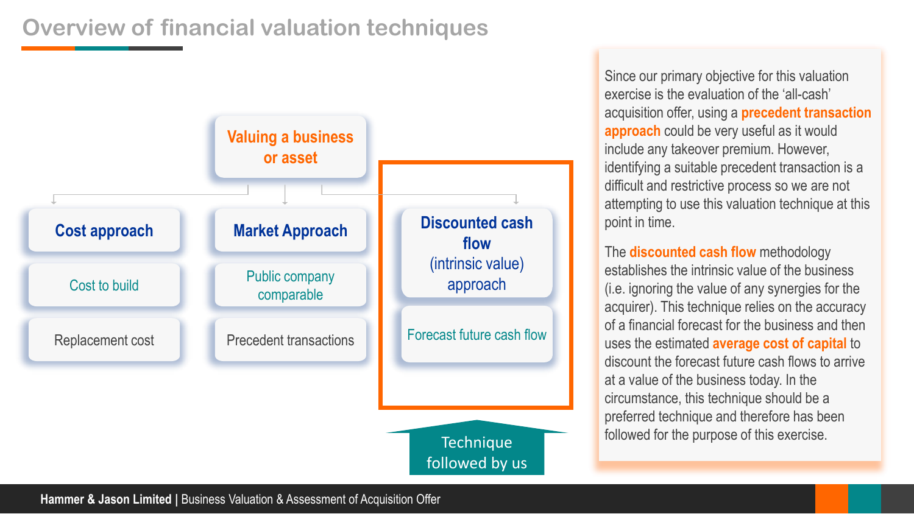# **Overview of financial valuation techniques**



Since our primary objective for this valuation exercise is the evaluation of the 'all-cash' acquisition offer, using a **precedent transaction approach** could be very useful as it would include any takeover premium. However, identifying a suitable precedent transaction is a difficult and restrictive process so we are not attempting to use this valuation technique at this point in time.

The **discounted cash flow** methodology establishes the intrinsic value of the business (i.e. ignoring the value of any synergies for the acquirer). This technique relies on the accuracy of a financial forecast for the business and then uses the estimated **average cost of capital** to discount the forecast future cash flows to arrive at a value of the business today. In the circumstance, this technique should be a preferred technique and therefore has been followed for the purpose of this exercise. Technique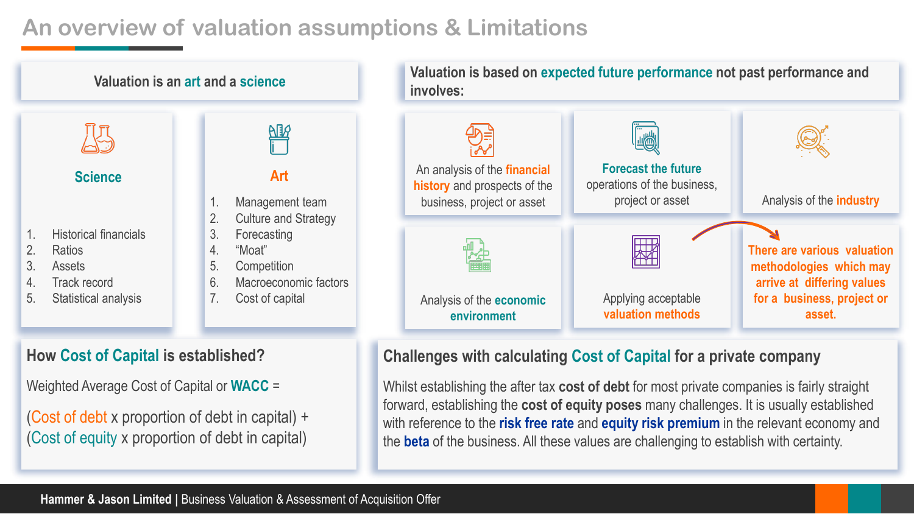# **An overview of valuation assumptions & Limitations**



#### **How Cost of Capital is established?**

Weighted Average Cost of Capital or **WACC** =

(Cost of debt x proportion of debt in capital) + (Cost of equity x proportion of debt in capital)

#### **Challenges with calculating Cost of Capital for a private company**

Whilst establishing the after tax **cost of debt** for most private companies is fairly straight forward, establishing the **cost of equity poses** many challenges. It is usually established with reference to the **risk free rate** and **equity risk premium** in the relevant economy and the **beta** of the business. All these values are challenging to establish with certainty.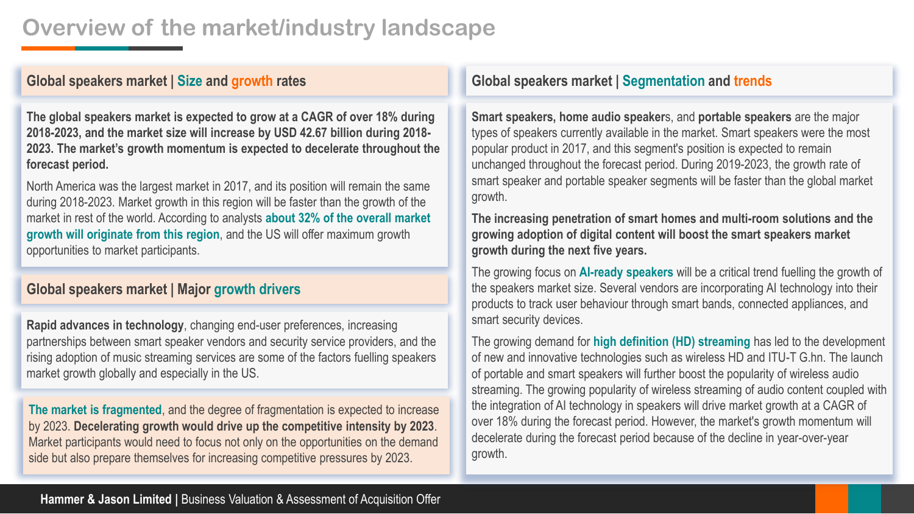## **Overview of the market/industry landscape**

#### **Global speakers market | Size and growth rates**

**The global speakers market is expected to grow at a CAGR of over 18% during 2018-2023, and the market size will increase by USD 42.67 billion during 2018- 2023. The market's growth momentum is expected to decelerate throughout the forecast period.**

North America was the largest market in 2017, and its position will remain the same during 2018-2023. Market growth in this region will be faster than the growth of the market in rest of the world. According to analysts **about 32% of the overall market growth will originate from this region**, and the US will offer maximum growth opportunities to market participants.

#### **Global speakers market | Major growth drivers**

**Rapid advances in technology**, changing end-user preferences, increasing partnerships between smart speaker vendors and security service providers, and the rising adoption of music streaming services are some of the factors fuelling speakers market growth globally and especially in the US.

**The market is fragmented**, and the degree of fragmentation is expected to increase by 2023. **Decelerating growth would drive up the competitive intensity by 2023**. Market participants would need to focus not only on the opportunities on the demand side but also prepare themselves for increasing competitive pressures by 2023.

#### **Global speakers market | Segmentation and trends**

**Smart speakers, home audio speaker**s, and **portable speakers** are the major types of speakers currently available in the market. Smart speakers were the most popular product in 2017, and this segment's position is expected to remain unchanged throughout the forecast period. During 2019-2023, the growth rate of smart speaker and portable speaker segments will be faster than the global market growth.

**The increasing penetration of smart homes and multi-room solutions and the growing adoption of digital content will boost the smart speakers market growth during the next five years.** 

The growing focus on **AI-ready speakers** will be a critical trend fuelling the growth of the speakers market size. Several vendors are incorporating AI technology into their products to track user behaviour through smart bands, connected appliances, and smart security devices.

The growing demand for **high definition (HD) streaming** has led to the development of new and innovative technologies such as wireless HD and ITU-T G.hn. The launch of portable and smart speakers will further boost the popularity of wireless audio streaming. The growing popularity of wireless streaming of audio content coupled with the integration of AI technology in speakers will drive market growth at a CAGR of over 18% during the forecast period. However, the market's growth momentum will decelerate during the forecast period because of the decline in year-over-year growth.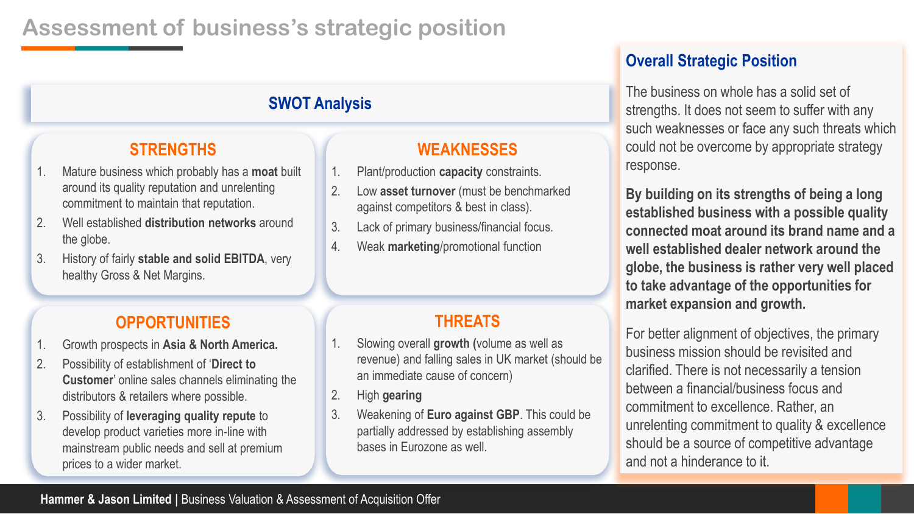## **Assessment of business's strategic position**

## **SWOT Analysis**

## **STRENGTHS**

- 1. Mature business which probably has a **moat** built around its quality reputation and unrelenting commitment to maintain that reputation.
- 2. Well established **distribution networks** around the globe.
- 3. History of fairly **stable and solid EBITDA**, very healthy Gross & Net Margins.

#### **OPPORTUNITIES**

- 1. Growth prospects in **Asia & North America.**
- 2. Possibility of establishment of '**Direct to Customer**' online sales channels eliminating the distributors & retailers where possible.
- 3. Possibility of **leveraging quality repute** to develop product varieties more in-line with mainstream public needs and sell at premium prices to a wider market.

# **WEAKNESSES**

- 1. Plant/production **capacity** constraints.
- 2. Low **asset turnover** (must be benchmarked against competitors & best in class).
- 3. Lack of primary business/financial focus.
- 4. Weak **marketing**/promotional function

### **THREATS**

- 1. Slowing overall **growth (**volume as well as revenue) and falling sales in UK market (should be an immediate cause of concern)
- 2. High **gearing**
- 3. Weakening of **Euro against GBP**. This could be partially addressed by establishing assembly bases in Eurozone as well.

## **Overall Strategic Position**

The business on whole has a solid set of strengths. It does not seem to suffer with any such weaknesses or face any such threats which could not be overcome by appropriate strategy response.

**By building on its strengths of being a long established business with a possible quality connected moat around its brand name and a well established dealer network around the globe, the business is rather very well placed to take advantage of the opportunities for market expansion and growth.**

For better alignment of objectives, the primary business mission should be revisited and clarified. There is not necessarily a tension between a financial/business focus and commitment to excellence. Rather, an unrelenting commitment to quality & excellence should be a source of competitive advantage and not a hinderance to it.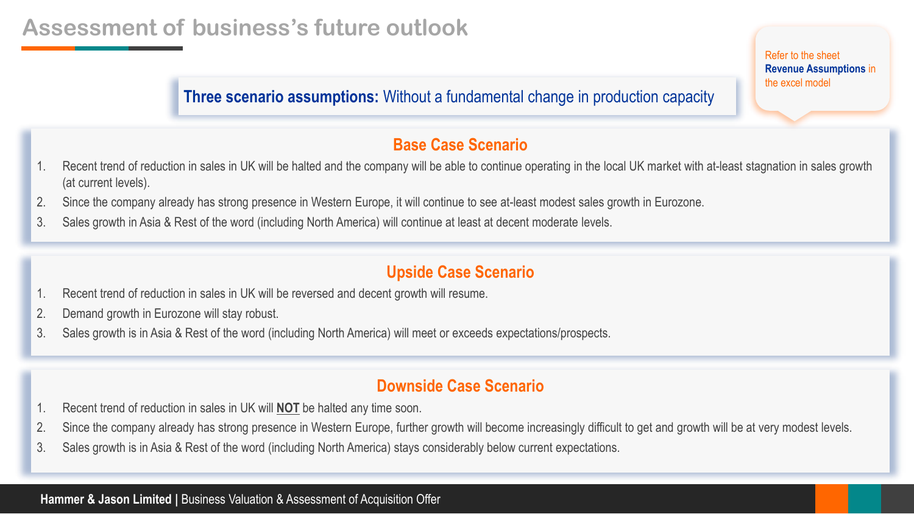**Three scenario assumptions:** Without a fundamental change in production capacity

#### **Base Case Scenario**

- 1. Recent trend of reduction in sales in UK will be halted and the company will be able to continue operating in the local UK market with at-least stagnation in sales growth (at current levels).
- 2. Since the company already has strong presence in Western Europe, it will continue to see at-least modest sales growth in Eurozone.
- 3. Sales growth in Asia & Rest of the word (including North America) will continue at least at decent moderate levels.

### **Upside Case Scenario**

- 1. Recent trend of reduction in sales in UK will be reversed and decent growth will resume.
- 2. Demand growth in Eurozone will stay robust.
- 3. Sales growth is in Asia & Rest of the word (including North America) will meet or exceeds expectations/prospects.

#### **Downside Case Scenario**

- 1. Recent trend of reduction in sales in UK will **NOT** be halted any time soon.
- 2. Since the company already has strong presence in Western Europe, further growth will become increasingly difficult to get and growth will be at very modest levels.
- 3. Sales growth is in Asia & Rest of the word (including North America) stays considerably below current expectations.

**Hammer & Jason Limited | Business Valuation & Assessment of Acquisition Offer** 

Refer to the sheet **Revenue Assumptions** in the excel model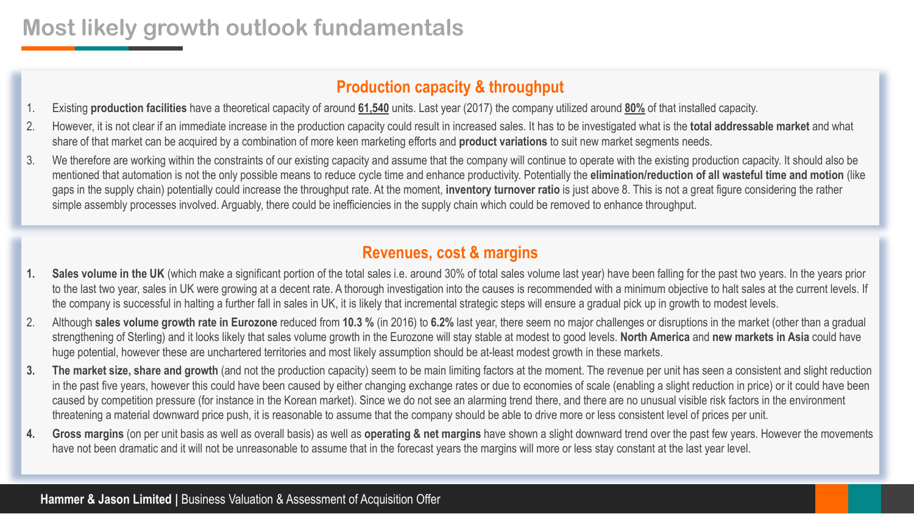## **Most likely growth outlook fundamentals**

### **Production capacity & throughput**

- 1. Existing **production facilities** have a theoretical capacity of around **61,540** units. Last year (2017) the company utilized around **80%** of that installed capacity.
- 2. However, it is not clear if an immediate increase in the production capacity could result in increased sales. It has to be investigated what is the **total addressable market** and what share of that market can be acquired by a combination of more keen marketing efforts and **product variations** to suit new market segments needs.
- 3. We therefore are working within the constraints of our existing capacity and assume that the company will continue to operate with the existing production capacity. It should also be mentioned that automation is not the only possible means to reduce cycle time and enhance productivity. Potentially the **elimination/reduction of all wasteful time and motion** (like gaps in the supply chain) potentially could increase the throughput rate. At the moment, **inventory turnover ratio** is just above 8. This is not a great figure considering the rather simple assembly processes involved. Arguably, there could be inefficiencies in the supply chain which could be removed to enhance throughput.

#### **Revenues, cost & margins**

- **1. Sales volume in the UK** (which make a significant portion of the total sales i.e. around 30% of total sales volume last year) have been falling for the past two years. In the years prior to the last two year, sales in UK were growing at a decent rate. A thorough investigation into the causes is recommended with a minimum objective to halt sales at the current levels. If the company is successful in halting a further fall in sales in UK, it is likely that incremental strategic steps will ensure a gradual pick up in growth to modest levels.
- 2. Although **sales volume growth rate in Eurozone** reduced from **10.3 %** (in 2016) to **6.2%** last year, there seem no major challenges or disruptions in the market (other than a gradual strengthening of Sterling) and it looks likely that sales volume growth in the Eurozone will stay stable at modest to good levels. **North America** and **new markets in Asia** could have huge potential, however these are unchartered territories and most likely assumption should be at-least modest growth in these markets.
- **3. The market size, share and growth** (and not the production capacity) seem to be main limiting factors at the moment. The revenue per unit has seen a consistent and slight reduction in the past five years, however this could have been caused by either changing exchange rates or due to economies of scale (enabling a slight reduction in price) or it could have been caused by competition pressure (for instance in the Korean market). Since we do not see an alarming trend there, and there are no unusual visible risk factors in the environment threatening a material downward price push, it is reasonable to assume that the company should be able to drive more or less consistent level of prices per unit.
- **4. Gross margins** (on per unit basis as well as overall basis) as well as **operating & net margins** have shown a slight downward trend over the past few years. However the movements have not been dramatic and it will not be unreasonable to assume that in the forecast years the margins will more or less stay constant at the last year level.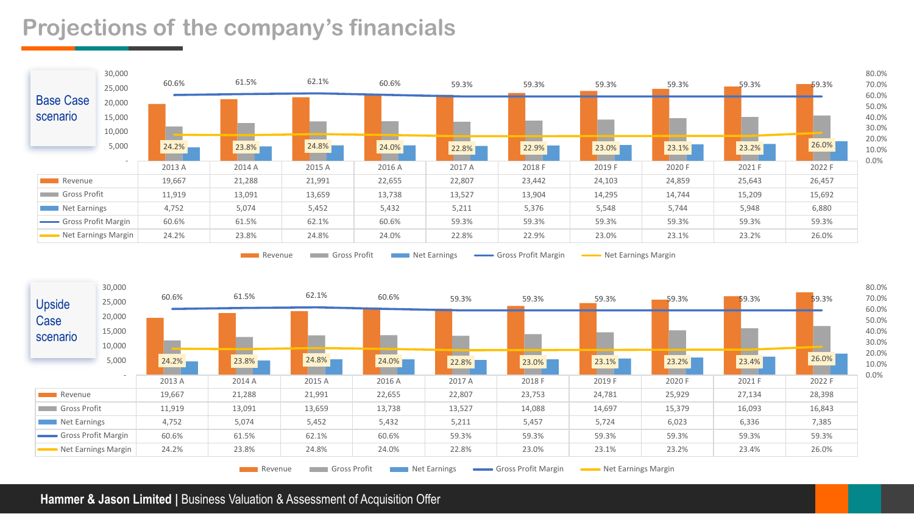## **Projections of the company's financials**



Revenue Gross Profit Net Earnings Gross Profit Margin Net Earnings Margin Net Earnings Margin

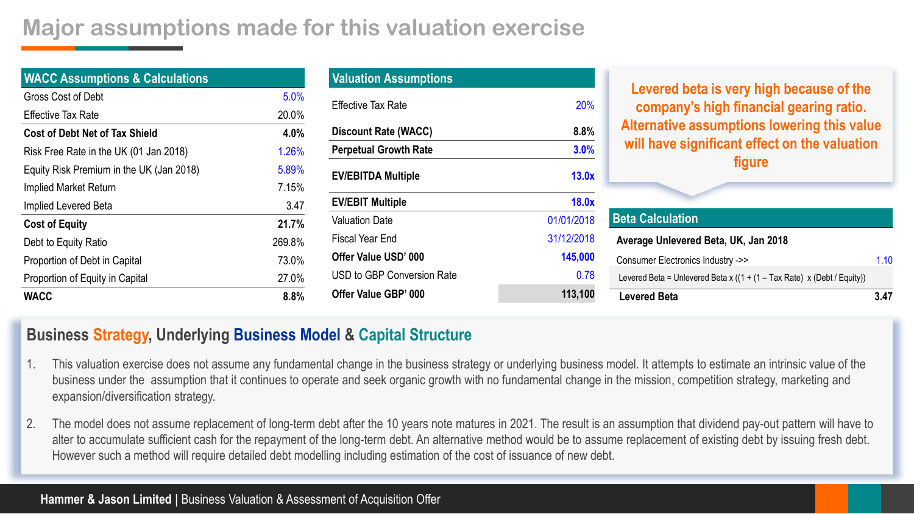## **Major assumptions made for this valuation exercise**

| <b>WACC Assumptions &amp; Calculations</b> |        |
|--------------------------------------------|--------|
| Gross Cost of Debt                         | 5.0%   |
| <b>Effective Tax Rate</b>                  | 20.0%  |
| <b>Cost of Debt Net of Tax Shield</b>      | 4.0%   |
| Risk Free Rate in the UK (01 Jan 2018)     | 1.26%  |
| Equity Risk Premium in the UK (Jan 2018)   | 5.89%  |
| Implied Market Return                      | 7.15%  |
| Implied Levered Beta                       | 3.47   |
| <b>Cost of Equity</b>                      | 21.7%  |
| Debt to Equity Ratio                       | 269.8% |
| Proportion of Debt in Capital              | 73.0%  |
| Proportion of Equity in Capital            | 27.0%  |
| <b>WACC</b>                                | 8.8%   |

| <b>Valuation Assumptions</b> |            |
|------------------------------|------------|
| <b>Effective Tax Rate</b>    | 20%        |
| <b>Discount Rate (WACC)</b>  | 8.8%       |
| <b>Perpetual Growth Rate</b> | 3.0%       |
| <b>EV/EBITDA Multiple</b>    | 13.0x      |
| <b>EV/EBIT Multiple</b>      | 18.0x      |
| <b>Valuation Date</b>        | 01/01/2018 |
| Fiscal Year End              | 31/12/2018 |
| Offer Value USD' 000         | 145,000    |
| USD to GBP Conversion Rate   | 0.78       |
| Offer Value GBP' 000         | 113,100    |

**Levered beta is very high because of the company's high financial gearing ratio. Alternative assumptions lowering this value will have significant effect on the valuation figure**

| <b>Beta Calculation</b>                                                    |      |
|----------------------------------------------------------------------------|------|
| Average Unlevered Beta, UK, Jan 2018                                       |      |
| Consumer Electronics Industry ->>                                          | 1.10 |
| Levered Beta = Unlevered Beta x ( $(1 + (1 - Tax Rate) x (Debt / Equity))$ |      |
| <b>Levered Beta</b>                                                        | 3 47 |

#### **Business Strategy, Underlying Business Model & Capital Structure**

- 1. This valuation exercise does not assume any fundamental change in the business strategy or underlying business model. It attempts to estimate an intrinsic value of the business under the assumption that it continues to operate and seek organic growth with no fundamental change in the mission, competition strategy, marketing and expansion/diversification strategy.
- 2. The model does not assume replacement of long-term debt after the 10 years note matures in 2021. The result is an assumption that dividend pay-out pattern will have to alter to accumulate sufficient cash for the repayment of the long-term debt. An alternative method would be to assume replacement of existing debt by issuing fresh debt. However such a method will require detailed debt modelling including estimation of the cost of issuance of new debt.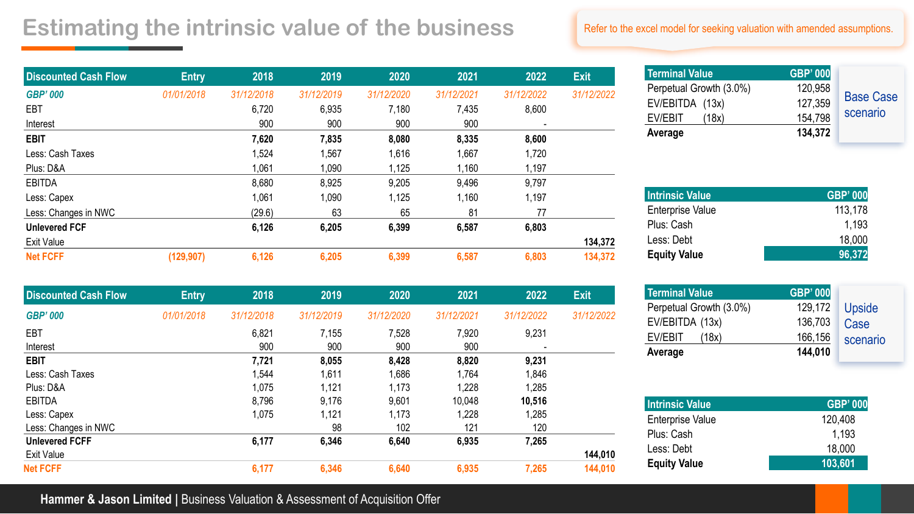## **Estimating the intrinsic value of the business**

| <b>Discounted Cash Flow</b> | <b>Entry</b> | 2018       | 2019       | 2020       | 2021       | 2022       | <b>Exit</b> |
|-----------------------------|--------------|------------|------------|------------|------------|------------|-------------|
| <b>GBP' 000</b>             | 01/01/2018   | 31/12/2018 | 31/12/2019 | 31/12/2020 | 31/12/2021 | 31/12/2022 | 31/12/2022  |
| <b>EBT</b>                  |              | 6,720      | 6,935      | 7,180      | 7,435      | 8,600      |             |
| Interest                    |              | 900        | 900        | 900        | 900        | ۰          |             |
| <b>EBIT</b>                 |              | 7,620      | 7,835      | 8,080      | 8,335      | 8,600      |             |
| Less: Cash Taxes            |              | 1,524      | 1,567      | 1,616      | 1,667      | 1,720      |             |
| Plus: D&A                   |              | 1,061      | 1,090      | 1,125      | 1,160      | 1,197      |             |
| <b>EBITDA</b>               |              | 8,680      | 8,925      | 9,205      | 9,496      | 9,797      |             |
| Less: Capex                 |              | 1,061      | 1,090      | 1,125      | 1,160      | 1,197      |             |
| Less: Changes in NWC        |              | (29.6)     | 63         | 65         | 81         | 77         |             |
| <b>Unlevered FCF</b>        |              | 6,126      | 6,205      | 6,399      | 6,587      | 6,803      |             |
| <b>Exit Value</b>           |              |            |            |            |            |            | 134,372     |
| <b>Net FCFF</b>             | (129, 907)   | 6,126      | 6,205      | 6,399      | 6,587      | 6,803      | 134,372     |

| <b>Discounted Cash Flow</b> | <b>Entry</b> | 2018       | 2019       | 2020       | 2021       | 2022       | <b>Exit</b> |
|-----------------------------|--------------|------------|------------|------------|------------|------------|-------------|
| <b>GBP' 000</b>             | 01/01/2018   | 31/12/2018 | 31/12/2019 | 31/12/2020 | 31/12/2021 | 31/12/2022 | 31/12/2022  |
| EBT                         |              | 6,821      | 7,155      | 7,528      | 7,920      | 9,231      |             |
| Interest                    |              | 900        | 900        | 900        | 900        |            |             |
| <b>EBIT</b>                 |              | 7,721      | 8,055      | 8,428      | 8,820      | 9,231      |             |
| Less: Cash Taxes            |              | 1,544      | 1,611      | 1,686      | 1,764      | 1,846      |             |
| Plus: D&A                   |              | 1,075      | 1,121      | 1,173      | 1,228      | 1,285      |             |
| <b>EBITDA</b>               |              | 8,796      | 9,176      | 9,601      | 10,048     | 10,516     |             |
| Less: Capex                 |              | 1,075      | 1,121      | 1,173      | 1,228      | 1,285      |             |
| Less: Changes in NWC        |              |            | 98         | 102        | 121        | 120        |             |
| <b>Unlevered FCFF</b>       |              | 6,177      | 6,346      | 6,640      | 6,935      | 7,265      |             |
| <b>Exit Value</b>           |              |            |            |            |            |            | 144,010     |
| <b>Net FCFF</b>             |              | 6,177      | 6,346      | 6,640      | 6,935      | 7,265      | 144,010     |

#### Refer to the excel model for seeking valuation with amended assumptions.

| <b>Terminal Value</b>   | <b>GBP' 000</b> |                  |
|-------------------------|-----------------|------------------|
| Perpetual Growth (3.0%) | 120,958         |                  |
| EV/EBITDA (13x)         | 127,359         | <b>Base Case</b> |
| EV/EBIT<br>(18x)        | 154,798         | scenario         |
| Average                 | 134,372         |                  |

| <b>Intrinsic Value</b> | <b>GBP' 000</b> |
|------------------------|-----------------|
| Enterprise Value       | 113,178         |
| Plus: Cash             | 1.193           |
| Less: Debt             | 18,000          |
| <b>Equity Value</b>    | 96,372          |

| <b>Terminal Value</b>   | <b>GBP' 000</b> |          |
|-------------------------|-----------------|----------|
| Perpetual Growth (3.0%) | 129,172         | Upside   |
| EV/EBITDA (13x)         | 136,703         | Case     |
| EV/EBIT<br>(18x)        | 166,156         | scenario |
| Average                 | 144,010         |          |

| <b>Intrinsic Value</b>  | <b>GBP' 000</b> |
|-------------------------|-----------------|
| <b>Enterprise Value</b> | 120,408         |
| Plus: Cash              | 1.193           |
| Less: Debt              | 18,000          |
| <b>Equity Value</b>     | 103,601         |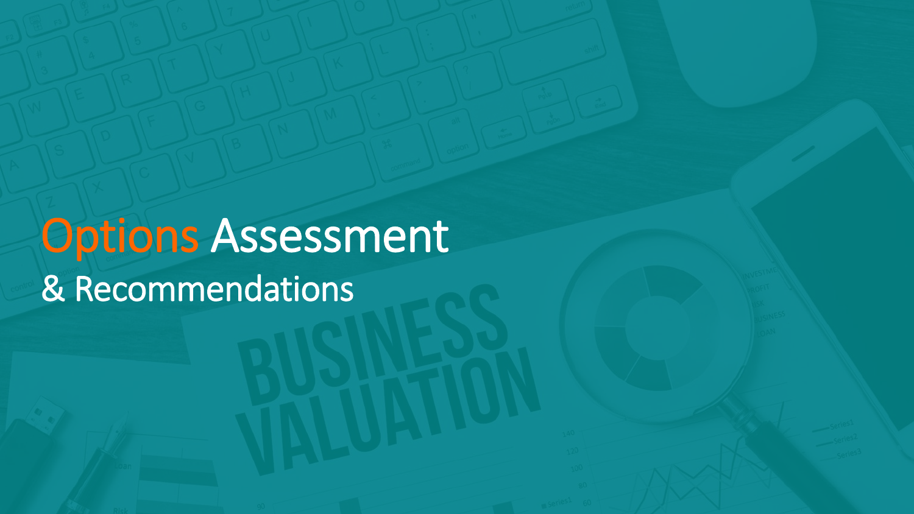# Options Assessment & Recommendations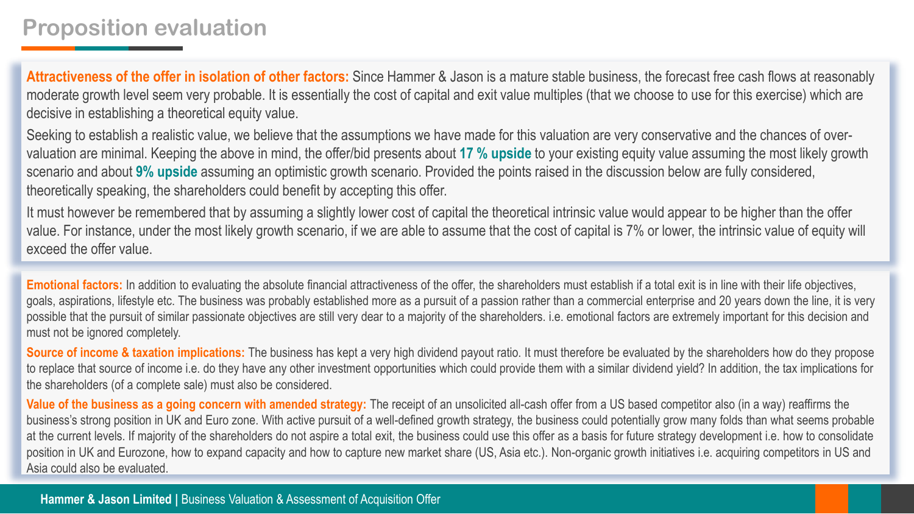**Attractiveness of the offer in isolation of other factors:** Since Hammer & Jason is a mature stable business, the forecast free cash flows at reasonably moderate growth level seem very probable. It is essentially the cost of capital and exit value multiples (that we choose to use for this exercise) which are decisive in establishing a theoretical equity value.

Seeking to establish a realistic value, we believe that the assumptions we have made for this valuation are very conservative and the chances of overvaluation are minimal. Keeping the above in mind, the offer/bid presents about **17 % upside** to your existing equity value assuming the most likely growth scenario and about **9% upside** assuming an optimistic growth scenario. Provided the points raised in the discussion below are fully considered, theoretically speaking, the shareholders could benefit by accepting this offer.

It must however be remembered that by assuming a slightly lower cost of capital the theoretical intrinsic value would appear to be higher than the offer value. For instance, under the most likely growth scenario, if we are able to assume that the cost of capital is 7% or lower, the intrinsic value of equity will exceed the offer value.

**Emotional factors:** In addition to evaluating the absolute financial attractiveness of the offer, the shareholders must establish if a total exit is in line with their life objectives, goals, aspirations, lifestyle etc. The business was probably established more as a pursuit of a passion rather than a commercial enterprise and 20 years down the line, it is very possible that the pursuit of similar passionate objectives are still very dear to a majority of the shareholders. i.e. emotional factors are extremely important for this decision and must not be ignored completely.

**Source of income & taxation implications:** The business has kept a very high dividend payout ratio. It must therefore be evaluated by the shareholders how do they propose to replace that source of income i.e. do they have any other investment opportunities which could provide them with a similar dividend yield? In addition, the tax implications for the shareholders (of a complete sale) must also be considered.

**Value of the business as a going concern with amended strategy:** The receipt of an unsolicited all-cash offer from a US based competitor also (in a way) reaffirms the business's strong position in UK and Euro zone. With active pursuit of a well-defined growth strategy, the business could potentially grow many folds than what seems probable at the current levels. If majority of the shareholders do not aspire a total exit, the business could use this offer as a basis for future strategy development i.e. how to consolidate position in UK and Eurozone, how to expand capacity and how to capture new market share (US, Asia etc.). Non-organic growth initiatives i.e. acquiring competitors in US and Asia could also be evaluated.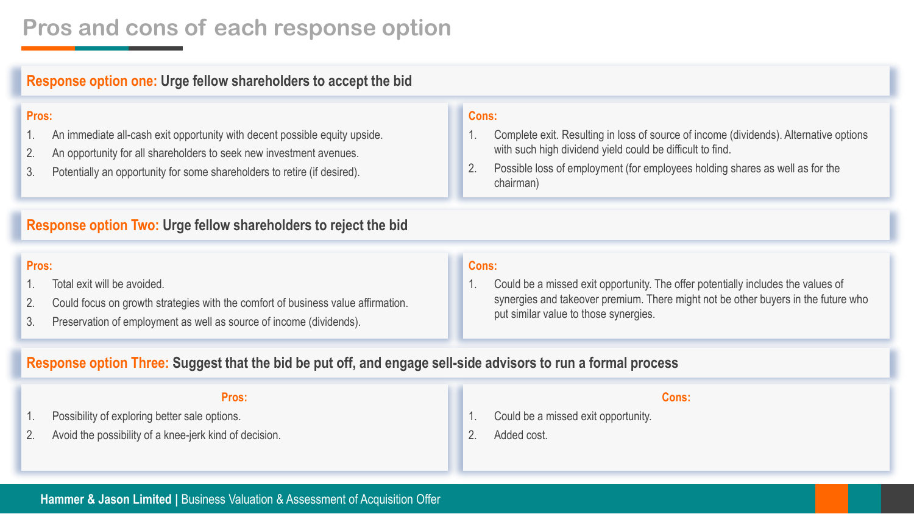## **Pros and cons of each response option**

#### **Response option one: Urge fellow shareholders to accept the bid**

#### **Pros:**

- 1. An immediate all-cash exit opportunity with decent possible equity upside.
- 2. An opportunity for all shareholders to seek new investment avenues.
- 3. Potentially an opportunity for some shareholders to retire (if desired).

#### **Cons:**

- 1. Complete exit. Resulting in loss of source of income (dividends). Alternative options with such high dividend yield could be difficult to find.
- 2. Possible loss of employment (for employees holding shares as well as for the chairman)

#### **Response option Two: Urge fellow shareholders to reject the bid**

#### **Pros:**

- 1. Total exit will be avoided.
- 2. Could focus on growth strategies with the comfort of business value affirmation.
- 3. Preservation of employment as well as source of income (dividends).

#### **Cons:**

1. Could be a missed exit opportunity. The offer potentially includes the values of synergies and takeover premium. There might not be other buyers in the future who put similar value to those synergies.

#### **Response option Three: Suggest that the bid be put off, and engage sell-side advisors to run a formal process**

**Pros:** 1. Possibility of exploring better sale options. 2. Avoid the possibility of a knee-jerk kind of decision. **Cons:** 1. Could be a missed exit opportunity. 2. Added cost.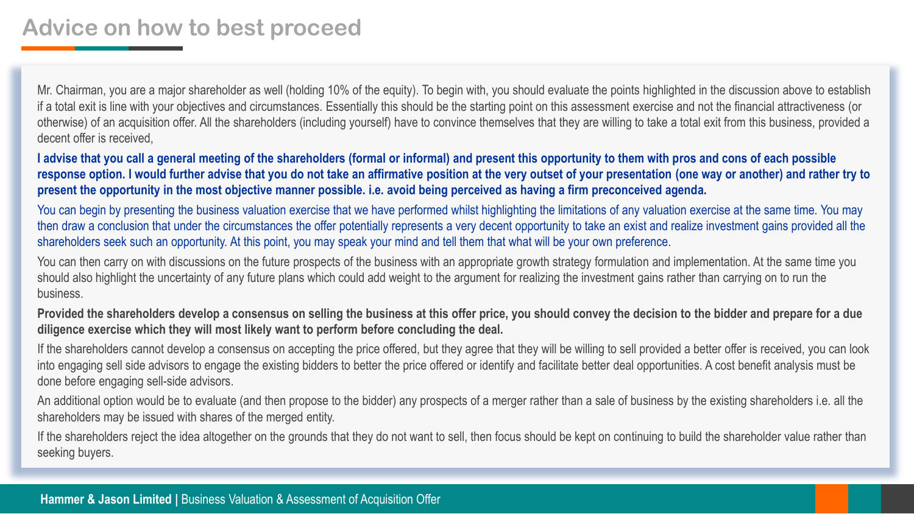## **Advice on how to best proceed**

Mr. Chairman, you are a major shareholder as well (holding 10% of the equity). To begin with, you should evaluate the points highlighted in the discussion above to establish if a total exit is line with your objectives and circumstances. Essentially this should be the starting point on this assessment exercise and not the financial attractiveness (or otherwise) of an acquisition offer. All the shareholders (including yourself) have to convince themselves that they are willing to take a total exit from this business, provided a decent offer is received,

**I advise that you call a general meeting of the shareholders (formal or informal) and present this opportunity to them with pros and cons of each possible response option. I would further advise that you do not take an affirmative position at the very outset of your presentation (one way or another) and rather try to present the opportunity in the most objective manner possible. i.e. avoid being perceived as having a firm preconceived agenda.**

You can begin by presenting the business valuation exercise that we have performed whilst highlighting the limitations of any valuation exercise at the same time. You may then draw a conclusion that under the circumstances the offer potentially represents a very decent opportunity to take an exist and realize investment gains provided all the shareholders seek such an opportunity. At this point, you may speak your mind and tell them that what will be your own preference.

You can then carry on with discussions on the future prospects of the business with an appropriate growth strategy formulation and implementation. At the same time you should also highlight the uncertainty of any future plans which could add weight to the argument for realizing the investment gains rather than carrying on to run the business.

**Provided the shareholders develop a consensus on selling the business at this offer price, you should convey the decision to the bidder and prepare for a due diligence exercise which they will most likely want to perform before concluding the deal.**

If the shareholders cannot develop a consensus on accepting the price offered, but they agree that they will be willing to sell provided a better offer is received, you can look into engaging sell side advisors to engage the existing bidders to better the price offered or identify and facilitate better deal opportunities. A cost benefit analysis must be done before engaging sell-side advisors.

An additional option would be to evaluate (and then propose to the bidder) any prospects of a merger rather than a sale of business by the existing shareholders i.e. all the shareholders may be issued with shares of the merged entity.

If the shareholders reject the idea altogether on the grounds that they do not want to sell, then focus should be kept on continuing to build the shareholder value rather than seeking buyers.